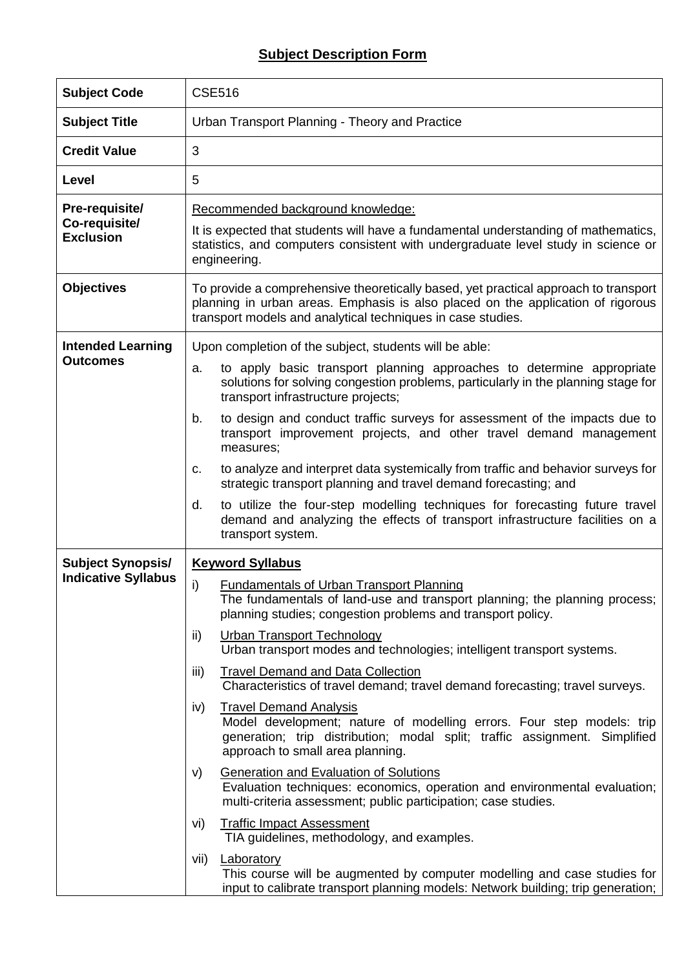## **Subject Description Form**

| <b>Subject Code</b>                                 | <b>CSE516</b>                                                                                                                                                                                                                         |  |  |  |  |  |
|-----------------------------------------------------|---------------------------------------------------------------------------------------------------------------------------------------------------------------------------------------------------------------------------------------|--|--|--|--|--|
| <b>Subject Title</b>                                | Urban Transport Planning - Theory and Practice                                                                                                                                                                                        |  |  |  |  |  |
| <b>Credit Value</b>                                 | 3                                                                                                                                                                                                                                     |  |  |  |  |  |
| Level                                               | 5                                                                                                                                                                                                                                     |  |  |  |  |  |
| Pre-requisite/<br>Co-requisite/<br><b>Exclusion</b> | Recommended background knowledge:                                                                                                                                                                                                     |  |  |  |  |  |
|                                                     | It is expected that students will have a fundamental understanding of mathematics,<br>statistics, and computers consistent with undergraduate level study in science or<br>engineering.                                               |  |  |  |  |  |
| <b>Objectives</b>                                   | To provide a comprehensive theoretically based, yet practical approach to transport<br>planning in urban areas. Emphasis is also placed on the application of rigorous<br>transport models and analytical techniques in case studies. |  |  |  |  |  |
| <b>Intended Learning</b><br><b>Outcomes</b>         | Upon completion of the subject, students will be able:                                                                                                                                                                                |  |  |  |  |  |
|                                                     | to apply basic transport planning approaches to determine appropriate<br>a.<br>solutions for solving congestion problems, particularly in the planning stage for<br>transport infrastructure projects;                                |  |  |  |  |  |
|                                                     | to design and conduct traffic surveys for assessment of the impacts due to<br>b.<br>transport improvement projects, and other travel demand management<br>measures;                                                                   |  |  |  |  |  |
|                                                     | to analyze and interpret data systemically from traffic and behavior surveys for<br>c.<br>strategic transport planning and travel demand forecasting; and                                                                             |  |  |  |  |  |
|                                                     | to utilize the four-step modelling techniques for forecasting future travel<br>d.<br>demand and analyzing the effects of transport infrastructure facilities on a<br>transport system.                                                |  |  |  |  |  |
| <b>Subject Synopsis/</b>                            | <b>Keyword Syllabus</b>                                                                                                                                                                                                               |  |  |  |  |  |
| <b>Indicative Syllabus</b>                          | i)<br><b>Fundamentals of Urban Transport Planning</b><br>The fundamentals of land-use and transport planning; the planning process;<br>planning studies; congestion problems and transport policy.                                    |  |  |  |  |  |
|                                                     | <b>Urban Transport Technology</b><br>ii)<br>Urban transport modes and technologies; intelligent transport systems.                                                                                                                    |  |  |  |  |  |
|                                                     | <b>Travel Demand and Data Collection</b><br>iii)<br>Characteristics of travel demand; travel demand forecasting; travel surveys.                                                                                                      |  |  |  |  |  |
|                                                     | <b>Travel Demand Analysis</b><br>iv)<br>Model development; nature of modelling errors. Four step models: trip<br>generation; trip distribution; modal split; traffic assignment. Simplified<br>approach to small area planning.       |  |  |  |  |  |
|                                                     | <b>Generation and Evaluation of Solutions</b><br>V)<br>Evaluation techniques: economics, operation and environmental evaluation;<br>multi-criteria assessment; public participation; case studies.                                    |  |  |  |  |  |
|                                                     | <b>Traffic Impact Assessment</b><br>vi)<br>TIA guidelines, methodology, and examples.                                                                                                                                                 |  |  |  |  |  |
|                                                     | vii)<br>Laboratory<br>This course will be augmented by computer modelling and case studies for<br>input to calibrate transport planning models: Network building; trip generation;                                                    |  |  |  |  |  |